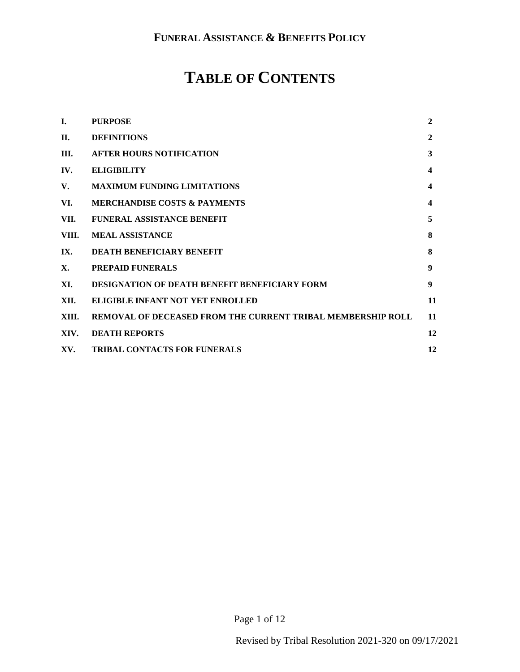# **TABLE OF CONTENTS**

| I.    | <b>PURPOSE</b>                                              | $\mathbf{2}$            |
|-------|-------------------------------------------------------------|-------------------------|
| II.   | <b>DEFINITIONS</b>                                          | $\mathbf{2}$            |
| III.  | <b>AFTER HOURS NOTIFICATION</b>                             | 3                       |
| IV.   | <b>ELIGIBILITY</b>                                          | 4                       |
| V.    | <b>MAXIMUM FUNDING LIMITATIONS</b>                          | $\overline{\mathbf{4}}$ |
| VI.   | <b>MERCHANDISE COSTS &amp; PAYMENTS</b>                     | 4                       |
| VII.  | <b>FUNERAL ASSISTANCE BENEFIT</b>                           | 5                       |
| VIII. | <b>MEAL ASSISTANCE</b>                                      | 8                       |
| IX.   | <b>DEATH BENEFICIARY BENEFIT</b>                            | 8                       |
| X.    | <b>PREPAID FUNERALS</b>                                     | 9                       |
| XI.   | <b>DESIGNATION OF DEATH BENEFIT BENEFICIARY FORM</b>        | 9                       |
| XII.  | ELIGIBLE INFANT NOT YET ENROLLED                            | 11                      |
| XIII. | REMOVAL OF DECEASED FROM THE CURRENT TRIBAL MEMBERSHIP ROLL | 11                      |
| XIV.  | <b>DEATH REPORTS</b>                                        | 12                      |
| XV.   | <b>TRIBAL CONTACTS FOR FUNERALS</b>                         | 12                      |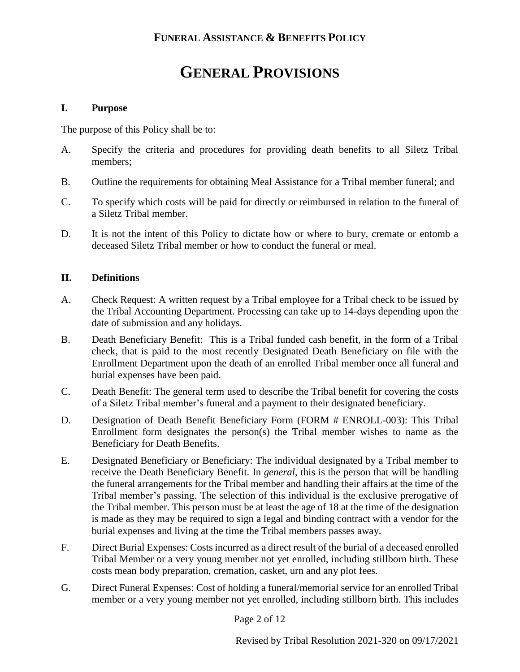# **GENERAL PROVISIONS**

#### <span id="page-1-0"></span>**I. Purpose**

The purpose of this Policy shall be to:

- A. Specify the criteria and procedures for providing death benefits to all Siletz Tribal members;
- B. Outline the requirements for obtaining Meal Assistance for a Tribal member funeral; and
- C. To specify which costs will be paid for directly or reimbursed in relation to the funeral of a Siletz Tribal member.
- D. It is not the intent of this Policy to dictate how or where to bury, cremate or entomb a deceased Siletz Tribal member or how to conduct the funeral or meal.

#### <span id="page-1-1"></span>**II. Definitions**

- A. Check Request: A written request by a Tribal employee for a Tribal check to be issued by the Tribal Accounting Department. Processing can take up to 14-days depending upon the date of submission and any holidays.
- B. Death Beneficiary Benefit: This is a Tribal funded cash benefit, in the form of a Tribal check, that is paid to the most recently Designated Death Beneficiary on file with the Enrollment Department upon the death of an enrolled Tribal member once all funeral and burial expenses have been paid.
- C. Death Benefit: The general term used to describe the Tribal benefit for covering the costs of a Siletz Tribal member's funeral and a payment to their designated beneficiary.
- D. Designation of Death Benefit Beneficiary Form (FORM # ENROLL-003): This Tribal Enrollment form designates the person(s) the Tribal member wishes to name as the Beneficiary for Death Benefits.
- E. Designated Beneficiary or Beneficiary: The individual designated by a Tribal member to receive the Death Beneficiary Benefit. In *general*, this is the person that will be handling the funeral arrangements for the Tribal member and handling their affairs at the time of the Tribal member's passing. The selection of this individual is the exclusive prerogative of the Tribal member. This person must be at least the age of 18 at the time of the designation is made as they may be required to sign a legal and binding contract with a vendor for the burial expenses and living at the time the Tribal members passes away.
- F. Direct Burial Expenses: Costs incurred as a direct result of the burial of a deceased enrolled Tribal Member or a very young member not yet enrolled, including stillborn birth. These costs mean body preparation, cremation, casket, urn and any plot fees.
- G. Direct Funeral Expenses: Cost of holding a funeral/memorial service for an enrolled Tribal member or a very young member not yet enrolled, including stillborn birth. This includes

Page 2 of 12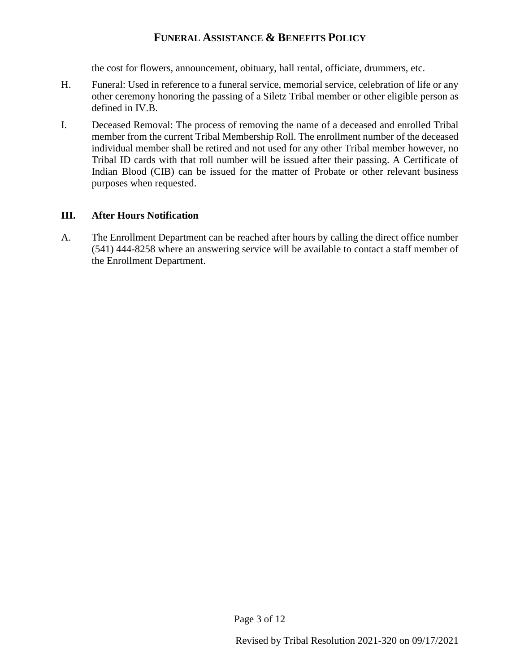the cost for flowers, announcement, obituary, hall rental, officiate, drummers, etc.

- H. Funeral: Used in reference to a funeral service, memorial service, celebration of life or any other ceremony honoring the passing of a Siletz Tribal member or other eligible person as defined in [IV.B.](#page-3-3)
- I. Deceased Removal: The process of removing the name of a deceased and enrolled Tribal member from the current Tribal Membership Roll. The enrollment number of the deceased individual member shall be retired and not used for any other Tribal member however, no Tribal ID cards with that roll number will be issued after their passing. A Certificate of Indian Blood (CIB) can be issued for the matter of Probate or other relevant business purposes when requested.

#### <span id="page-2-0"></span>**III. After Hours Notification**

A. The Enrollment Department can be reached after hours by calling the direct office number (541) 444-8258 where an answering service will be available to contact a staff member of the Enrollment Department.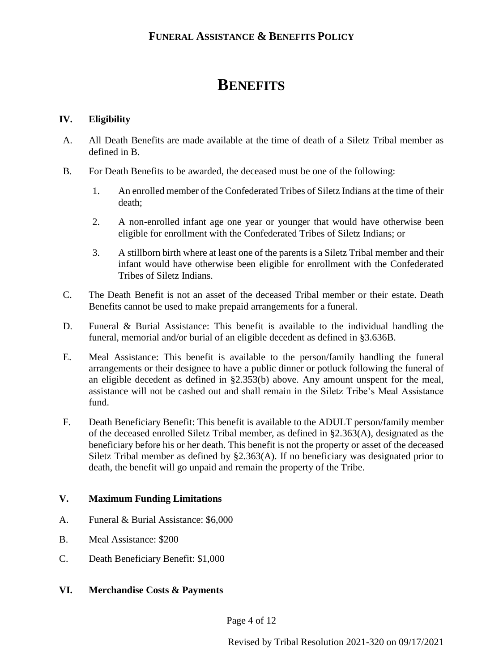# **BENEFITS**

### <span id="page-3-0"></span>**IV. Eligibility**

- <span id="page-3-3"></span>A. All Death Benefits are made available at the time of death of a Siletz Tribal member as defined in [B.](#page-3-4)
- <span id="page-3-4"></span>B. For Death Benefits to be awarded, the deceased must be one of the following:
	- 1. An enrolled member of the Confederated Tribes of Siletz Indians at the time of their death;
	- 2. A non-enrolled infant age one year or younger that would have otherwise been eligible for enrollment with the Confederated Tribes of Siletz Indians; or
	- 3. A stillborn birth where at least one of the parents is a Siletz Tribal member and their infant would have otherwise been eligible for enrollment with the Confederated Tribes of Siletz Indians.
- C. The Death Benefit is not an asset of the deceased Tribal member or their estate. Death Benefits cannot be used to make prepaid arrangements for a funeral.
- D. Funeral & Burial Assistance: This benefit is available to the individual handling the funeral, memorial and/or burial of an eligible decedent as defined in §3.63[6B.](#page-3-4)
- E. Meal Assistance: This benefit is available to the person/family handling the funeral arrangements or their designee to have a public dinner or potluck following the funeral of an eligible decedent as defined in §2.353(b) above. Any amount unspent for the meal, assistance will not be cashed out and shall remain in the Siletz Tribe's Meal Assistance fund.
- <span id="page-3-1"></span>F. Death Beneficiary Benefit: This benefit is available to the ADULT person/family member of the deceased enrolled Siletz Tribal member, as defined in §2.363(A), designated as the beneficiary before his or her death. This benefit is not the property or asset of the deceased Siletz Tribal member as defined by §2.363(A). If no beneficiary was designated prior to death, the benefit will go unpaid and remain the property of the Tribe.

## **V. Maximum Funding Limitations**

- A. Funeral & Burial Assistance: \$6,000
- B. Meal Assistance: \$200
- <span id="page-3-2"></span>C. Death Beneficiary Benefit: \$1,000

### **VI. Merchandise Costs & Payments**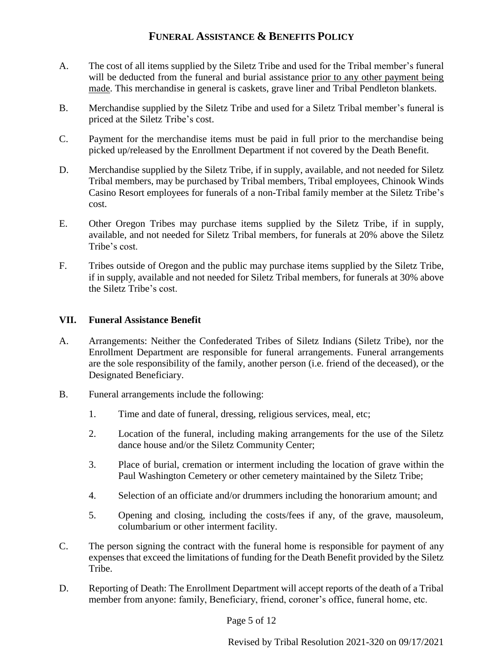- A. The cost of all items supplied by the Siletz Tribe and used for the Tribal member's funeral will be deducted from the funeral and burial assistance prior to any other payment being made. This merchandise in general is caskets, grave liner and Tribal Pendleton blankets.
- B. Merchandise supplied by the Siletz Tribe and used for a Siletz Tribal member's funeral is priced at the Siletz Tribe's cost.
- C. Payment for the merchandise items must be paid in full prior to the merchandise being picked up/released by the Enrollment Department if not covered by the Death Benefit.
- D. Merchandise supplied by the Siletz Tribe, if in supply, available, and not needed for Siletz Tribal members, may be purchased by Tribal members, Tribal employees, Chinook Winds Casino Resort employees for funerals of a non-Tribal family member at the Siletz Tribe's cost.
- E. Other Oregon Tribes may purchase items supplied by the Siletz Tribe, if in supply, available, and not needed for Siletz Tribal members, for funerals at 20% above the Siletz Tribe's cost.
- <span id="page-4-0"></span>F. Tribes outside of Oregon and the public may purchase items supplied by the Siletz Tribe, if in supply, available and not needed for Siletz Tribal members, for funerals at 30% above the Siletz Tribe's cost.

#### **VII. Funeral Assistance Benefit**

- A. Arrangements: Neither the Confederated Tribes of Siletz Indians (Siletz Tribe), nor the Enrollment Department are responsible for funeral arrangements. Funeral arrangements are the sole responsibility of the family, another person (i.e. friend of the deceased), or the Designated Beneficiary.
- B. Funeral arrangements include the following:
	- 1. Time and date of funeral, dressing, religious services, meal, etc;
	- 2. Location of the funeral, including making arrangements for the use of the Siletz dance house and/or the Siletz Community Center;
	- 3. Place of burial, cremation or interment including the location of grave within the Paul Washington Cemetery or other cemetery maintained by the Siletz Tribe;
	- 4. Selection of an officiate and/or drummers including the honorarium amount; and
	- 5. Opening and closing, including the costs/fees if any, of the grave, mausoleum, columbarium or other interment facility.
- C. The person signing the contract with the funeral home is responsible for payment of any expenses that exceed the limitations of funding for the Death Benefit provided by the Siletz Tribe.
- D. Reporting of Death: The Enrollment Department will accept reports of the death of a Tribal member from anyone: family, Beneficiary, friend, coroner's office, funeral home, etc.

Page 5 of 12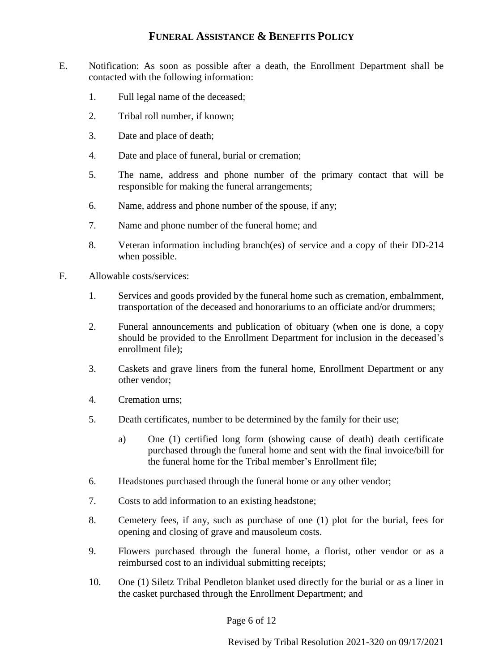- E. Notification: As soon as possible after a death, the Enrollment Department shall be contacted with the following information:
	- 1. Full legal name of the deceased;
	- 2. Tribal roll number, if known;
	- 3. Date and place of death;
	- 4. Date and place of funeral, burial or cremation;
	- 5. The name, address and phone number of the primary contact that will be responsible for making the funeral arrangements;
	- 6. Name, address and phone number of the spouse, if any;
	- 7. Name and phone number of the funeral home; and
	- 8. Veteran information including branch(es) of service and a copy of their DD-214 when possible.
- F. Allowable costs/services:
	- 1. Services and goods provided by the funeral home such as cremation, embalmment, transportation of the deceased and honorariums to an officiate and/or drummers;
	- 2. Funeral announcements and publication of obituary (when one is done, a copy should be provided to the Enrollment Department for inclusion in the deceased's enrollment file);
	- 3. Caskets and grave liners from the funeral home, Enrollment Department or any other vendor;
	- 4. Cremation urns;
	- 5. Death certificates, number to be determined by the family for their use;
		- a) One (1) certified long form (showing cause of death) death certificate purchased through the funeral home and sent with the final invoice/bill for the funeral home for the Tribal member's Enrollment file;
	- 6. Headstones purchased through the funeral home or any other vendor;
	- 7. Costs to add information to an existing headstone;
	- 8. Cemetery fees, if any, such as purchase of one (1) plot for the burial, fees for opening and closing of grave and mausoleum costs.
	- 9. Flowers purchased through the funeral home, a florist, other vendor or as a reimbursed cost to an individual submitting receipts;
	- 10. One (1) Siletz Tribal Pendleton blanket used directly for the burial or as a liner in the casket purchased through the Enrollment Department; and

Page 6 of 12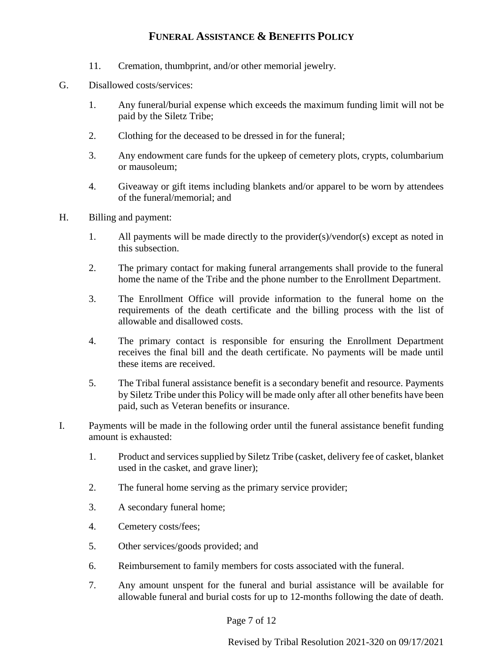- 11. Cremation, thumbprint, and/or other memorial jewelry.
- G. Disallowed costs/services:
	- 1. Any funeral/burial expense which exceeds the maximum funding limit will not be paid by the Siletz Tribe;
	- 2. Clothing for the deceased to be dressed in for the funeral;
	- 3. Any endowment care funds for the upkeep of cemetery plots, crypts, columbarium or mausoleum;
	- 4. Giveaway or gift items including blankets and/or apparel to be worn by attendees of the funeral/memorial; and
- H. Billing and payment:
	- 1. All payments will be made directly to the provider(s)/vendor(s) except as noted in this subsection.
	- 2. The primary contact for making funeral arrangements shall provide to the funeral home the name of the Tribe and the phone number to the Enrollment Department.
	- 3. The Enrollment Office will provide information to the funeral home on the requirements of the death certificate and the billing process with the list of allowable and disallowed costs.
	- 4. The primary contact is responsible for ensuring the Enrollment Department receives the final bill and the death certificate. No payments will be made until these items are received.
	- 5. The Tribal funeral assistance benefit is a secondary benefit and resource. Payments by Siletz Tribe under this Policy will be made only after all other benefits have been paid, such as Veteran benefits or insurance.
- I. Payments will be made in the following order until the funeral assistance benefit funding amount is exhausted:
	- 1. Product and services supplied by Siletz Tribe (casket, delivery fee of casket, blanket used in the casket, and grave liner);
	- 2. The funeral home serving as the primary service provider;
	- 3. A secondary funeral home;
	- 4. Cemetery costs/fees;
	- 5. Other services/goods provided; and
	- 6. Reimbursement to family members for costs associated with the funeral.
	- 7. Any amount unspent for the funeral and burial assistance will be available for allowable funeral and burial costs for up to 12-months following the date of death.

Page 7 of 12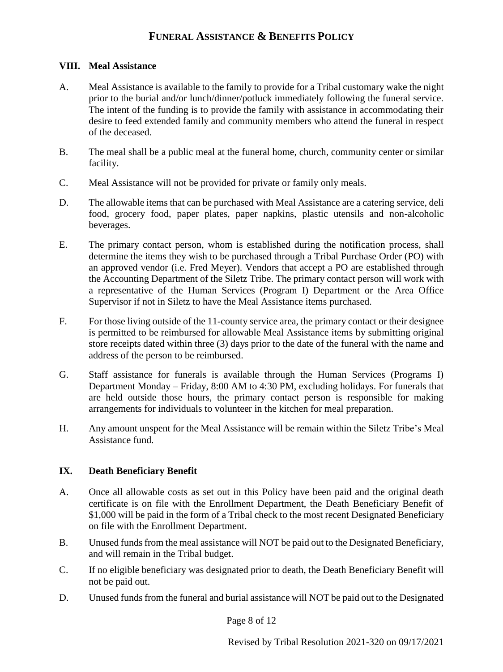#### <span id="page-7-0"></span>**VIII. Meal Assistance**

- A. Meal Assistance is available to the family to provide for a Tribal customary wake the night prior to the burial and/or lunch/dinner/potluck immediately following the funeral service. The intent of the funding is to provide the family with assistance in accommodating their desire to feed extended family and community members who attend the funeral in respect of the deceased.
- B. The meal shall be a public meal at the funeral home, church, community center or similar facility.
- C. Meal Assistance will not be provided for private or family only meals.
- D. The allowable items that can be purchased with Meal Assistance are a catering service, deli food, grocery food, paper plates, paper napkins, plastic utensils and non-alcoholic beverages.
- E. The primary contact person, whom is established during the notification process, shall determine the items they wish to be purchased through a Tribal Purchase Order (PO) with an approved vendor (i.e. Fred Meyer). Vendors that accept a PO are established through the Accounting Department of the Siletz Tribe. The primary contact person will work with a representative of the Human Services (Program I) Department or the Area Office Supervisor if not in Siletz to have the Meal Assistance items purchased.
- F. For those living outside of the 11-county service area, the primary contact or their designee is permitted to be reimbursed for allowable Meal Assistance items by submitting original store receipts dated within three (3) days prior to the date of the funeral with the name and address of the person to be reimbursed.
- G. Staff assistance for funerals is available through the Human Services (Programs I) Department Monday – Friday, 8:00 AM to 4:30 PM, excluding holidays. For funerals that are held outside those hours, the primary contact person is responsible for making arrangements for individuals to volunteer in the kitchen for meal preparation.
- <span id="page-7-1"></span>H. Any amount unspent for the Meal Assistance will be remain within the Siletz Tribe's Meal Assistance fund.

### **IX. Death Beneficiary Benefit**

- A. Once all allowable costs as set out in this Policy have been paid and the original death certificate is on file with the Enrollment Department, the Death Beneficiary Benefit of \$1,000 will be paid in the form of a Tribal check to the most recent Designated Beneficiary on file with the Enrollment Department.
- B. Unused funds from the meal assistance will NOT be paid out to the Designated Beneficiary, and will remain in the Tribal budget.
- C. If no eligible beneficiary was designated prior to death, the Death Beneficiary Benefit will not be paid out.
- D. Unused funds from the funeral and burial assistance will NOT be paid out to the Designated

Page 8 of 12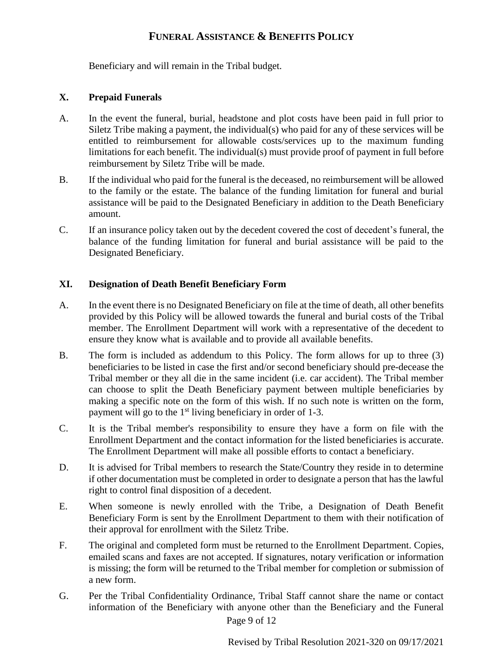<span id="page-8-0"></span>Beneficiary and will remain in the Tribal budget.

#### **X. Prepaid Funerals**

- A. In the event the funeral, burial, headstone and plot costs have been paid in full prior to Siletz Tribe making a payment, the individual(s) who paid for any of these services will be entitled to reimbursement for allowable costs/services up to the maximum funding limitations for each benefit. The individual(s) must provide proof of payment in full before reimbursement by Siletz Tribe will be made.
- B. If the individual who paid for the funeral is the deceased, no reimbursement will be allowed to the family or the estate. The balance of the funding limitation for funeral and burial assistance will be paid to the Designated Beneficiary in addition to the Death Beneficiary amount.
- <span id="page-8-1"></span>C. If an insurance policy taken out by the decedent covered the cost of decedent's funeral, the balance of the funding limitation for funeral and burial assistance will be paid to the Designated Beneficiary.

#### **XI. Designation of Death Benefit Beneficiary Form**

- A. In the event there is no Designated Beneficiary on file at the time of death, all other benefits provided by this Policy will be allowed towards the funeral and burial costs of the Tribal member. The Enrollment Department will work with a representative of the decedent to ensure they know what is available and to provide all available benefits.
- B. The form is included as addendum to this Policy. The form allows for up to three (3) beneficiaries to be listed in case the first and/or second beneficiary should pre-decease the Tribal member or they all die in the same incident (i.e. car accident). The Tribal member can choose to split the Death Beneficiary payment between multiple beneficiaries by making a specific note on the form of this wish. If no such note is written on the form, payment will go to the  $1<sup>st</sup>$  living beneficiary in order of 1-3.
- C. It is the Tribal member's responsibility to ensure they have a form on file with the Enrollment Department and the contact information for the listed beneficiaries is accurate. The Enrollment Department will make all possible efforts to contact a beneficiary.
- D. It is advised for Tribal members to research the State/Country they reside in to determine if other documentation must be completed in order to designate a person that has the lawful right to control final disposition of a decedent.
- E. When someone is newly enrolled with the Tribe, a Designation of Death Benefit Beneficiary Form is sent by the Enrollment Department to them with their notification of their approval for enrollment with the Siletz Tribe.
- F. The original and completed form must be returned to the Enrollment Department. Copies, emailed scans and faxes are not accepted. If signatures, notary verification or information is missing; the form will be returned to the Tribal member for completion or submission of a new form.
- Page 9 of 12 G. Per the Tribal Confidentiality Ordinance, Tribal Staff cannot share the name or contact information of the Beneficiary with anyone other than the Beneficiary and the Funeral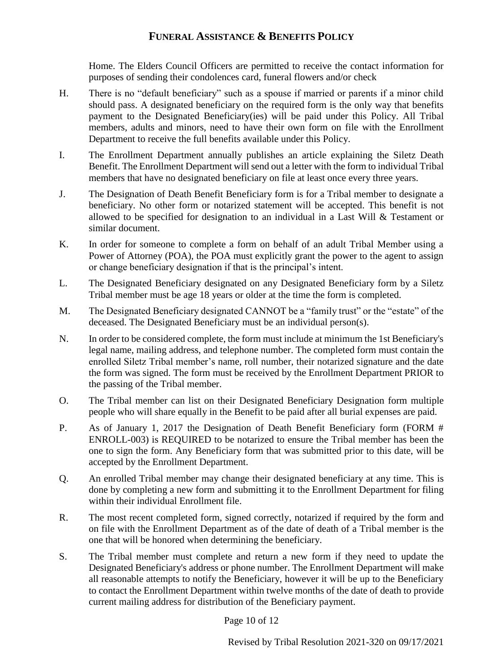Home. The Elders Council Officers are permitted to receive the contact information for purposes of sending their condolences card, funeral flowers and/or check

- H. There is no "default beneficiary" such as a spouse if married or parents if a minor child should pass. A designated beneficiary on the required form is the only way that benefits payment to the Designated Beneficiary(ies) will be paid under this Policy. All Tribal members, adults and minors, need to have their own form on file with the Enrollment Department to receive the full benefits available under this Policy.
- I. The Enrollment Department annually publishes an article explaining the Siletz Death Benefit. The Enrollment Department will send out a letter with the form to individual Tribal members that have no designated beneficiary on file at least once every three years.
- J. The Designation of Death Benefit Beneficiary form is for a Tribal member to designate a beneficiary. No other form or notarized statement will be accepted. This benefit is not allowed to be specified for designation to an individual in a Last Will & Testament or similar document.
- K. In order for someone to complete a form on behalf of an adult Tribal Member using a Power of Attorney (POA), the POA must explicitly grant the power to the agent to assign or change beneficiary designation if that is the principal's intent.
- L. The Designated Beneficiary designated on any Designated Beneficiary form by a Siletz Tribal member must be age 18 years or older at the time the form is completed.
- M. The Designated Beneficiary designated CANNOT be a "family trust" or the "estate" of the deceased. The Designated Beneficiary must be an individual person(s).
- N. In order to be considered complete, the form must include at minimum the 1st Beneficiary's legal name, mailing address, and telephone number. The completed form must contain the enrolled Siletz Tribal member's name, roll number, their notarized signature and the date the form was signed. The form must be received by the Enrollment Department PRIOR to the passing of the Tribal member.
- O. The Tribal member can list on their Designated Beneficiary Designation form multiple people who will share equally in the Benefit to be paid after all burial expenses are paid.
- P. As of January 1, 2017 the Designation of Death Benefit Beneficiary form (FORM # ENROLL-003) is REQUIRED to be notarized to ensure the Tribal member has been the one to sign the form. Any Beneficiary form that was submitted prior to this date, will be accepted by the Enrollment Department.
- Q. An enrolled Tribal member may change their designated beneficiary at any time. This is done by completing a new form and submitting it to the Enrollment Department for filing within their individual Enrollment file.
- R. The most recent completed form, signed correctly, notarized if required by the form and on file with the Enrollment Department as of the date of death of a Tribal member is the one that will be honored when determining the beneficiary.
- S. The Tribal member must complete and return a new form if they need to update the Designated Beneficiary's address or phone number. The Enrollment Department will make all reasonable attempts to notify the Beneficiary, however it will be up to the Beneficiary to contact the Enrollment Department within twelve months of the date of death to provide current mailing address for distribution of the Beneficiary payment.

Page 10 of 12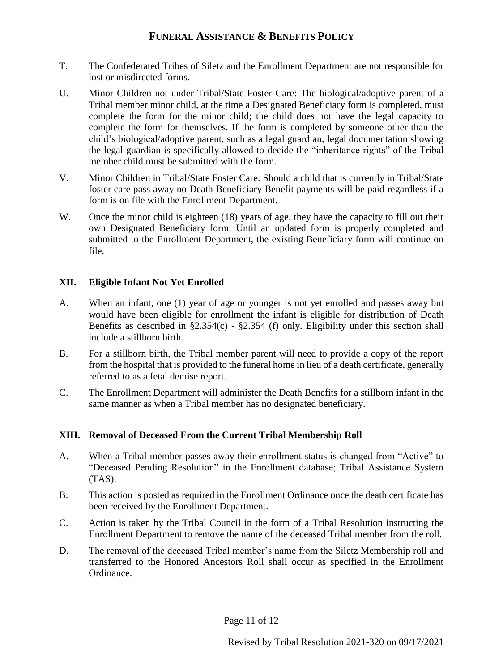- T. The Confederated Tribes of Siletz and the Enrollment Department are not responsible for lost or misdirected forms.
- U. Minor Children not under Tribal/State Foster Care: The biological/adoptive parent of a Tribal member minor child, at the time a Designated Beneficiary form is completed, must complete the form for the minor child; the child does not have the legal capacity to complete the form for themselves. If the form is completed by someone other than the child's biological/adoptive parent, such as a legal guardian, legal documentation showing the legal guardian is specifically allowed to decide the "inheritance rights" of the Tribal member child must be submitted with the form.
- V. Minor Children in Tribal/State Foster Care: Should a child that is currently in Tribal/State foster care pass away no Death Beneficiary Benefit payments will be paid regardless if a form is on file with the Enrollment Department.
- <span id="page-10-0"></span>W. Once the minor child is eighteen (18) years of age, they have the capacity to fill out their own Designated Beneficiary form. Until an updated form is properly completed and submitted to the Enrollment Department, the existing Beneficiary form will continue on file.

#### **XII. Eligible Infant Not Yet Enrolled**

- A. When an infant, one (1) year of age or younger is not yet enrolled and passes away but would have been eligible for enrollment the infant is eligible for distribution of Death Benefits as described in  $\S2.354(c)$  -  $\S2.354(f)$  only. Eligibility under this section shall include a stillborn birth.
- B. For a stillborn birth, the Tribal member parent will need to provide a copy of the report from the hospital that is provided to the funeral home in lieu of a death certificate, generally referred to as a fetal demise report.
- <span id="page-10-1"></span>C. The Enrollment Department will administer the Death Benefits for a stillborn infant in the same manner as when a Tribal member has no designated beneficiary.

### **XIII. Removal of Deceased From the Current Tribal Membership Roll**

- A. When a Tribal member passes away their enrollment status is changed from "Active" to "Deceased Pending Resolution" in the Enrollment database; Tribal Assistance System (TAS).
- B. This action is posted as required in the Enrollment Ordinance once the death certificate has been received by the Enrollment Department.
- C. Action is taken by the Tribal Council in the form of a Tribal Resolution instructing the Enrollment Department to remove the name of the deceased Tribal member from the roll.
- D. The removal of the deceased Tribal member's name from the Siletz Membership roll and transferred to the Honored Ancestors Roll shall occur as specified in the Enrollment Ordinance.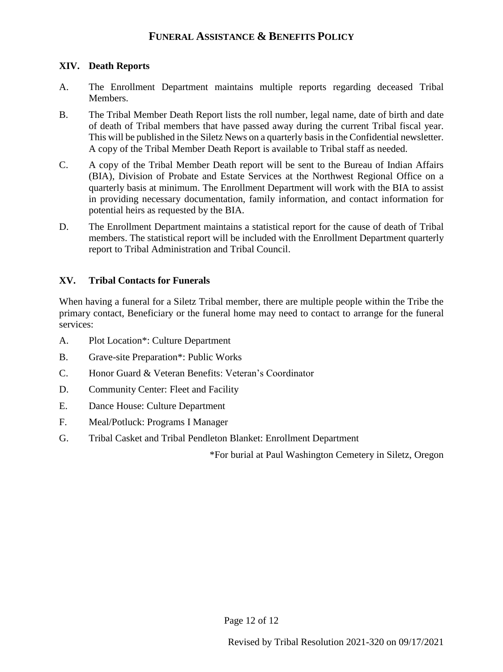#### <span id="page-11-0"></span>**XIV. Death Reports**

- A. The Enrollment Department maintains multiple reports regarding deceased Tribal Members.
- B. The Tribal Member Death Report lists the roll number, legal name, date of birth and date of death of Tribal members that have passed away during the current Tribal fiscal year. This will be published in the Siletz News on a quarterly basis in the Confidential newsletter. A copy of the Tribal Member Death Report is available to Tribal staff as needed.
- C. A copy of the Tribal Member Death report will be sent to the Bureau of Indian Affairs (BIA), Division of Probate and Estate Services at the Northwest Regional Office on a quarterly basis at minimum. The Enrollment Department will work with the BIA to assist in providing necessary documentation, family information, and contact information for potential heirs as requested by the BIA.
- <span id="page-11-1"></span>D. The Enrollment Department maintains a statistical report for the cause of death of Tribal members. The statistical report will be included with the Enrollment Department quarterly report to Tribal Administration and Tribal Council.

#### **XV. Tribal Contacts for Funerals**

When having a funeral for a Siletz Tribal member, there are multiple people within the Tribe the primary contact, Beneficiary or the funeral home may need to contact to arrange for the funeral services:

- A. Plot Location\*: Culture Department
- B. Grave-site Preparation\*: Public Works
- C. Honor Guard & Veteran Benefits: Veteran's Coordinator
- D. Community Center: Fleet and Facility
- E. Dance House: Culture Department
- F. Meal/Potluck: Programs I Manager
- G. Tribal Casket and Tribal Pendleton Blanket: Enrollment Department

\*For burial at Paul Washington Cemetery in Siletz, Oregon